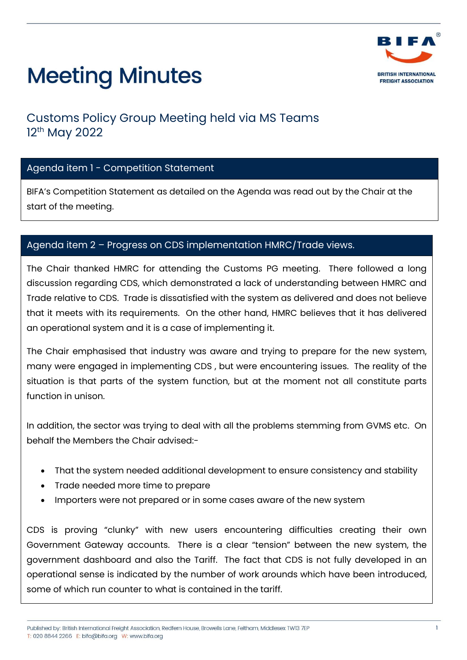

### Customs Policy Group Meeting held via MS Teams 12<sup>th</sup> May 2022

### Agenda item 1 - Competition Statement

BIFA's Competition Statement as detailed on the Agenda was read out by the Chair at the start of the meeting.

#### Agenda item 2 – Progress on CDS implementation HMRC/Trade views.

The Chair thanked HMRC for attending the Customs PG meeting. There followed a long discussion regarding CDS, which demonstrated a lack of understanding between HMRC and Trade relative to CDS. Trade is dissatisfied with the system as delivered and does not believe that it meets with its requirements. On the other hand, HMRC believes that it has delivered an operational system and it is a case of implementing it.

The Chair emphasised that industry was aware and trying to prepare for the new system, many were engaged in implementing CDS , but were encountering issues. The reality of the situation is that parts of the system function, but at the moment not all constitute parts function in unison.

In addition, the sector was trying to deal with all the problems stemming from GVMS etc. On behalf the Members the Chair advised:-

- That the system needed additional development to ensure consistency and stability
- Trade needed more time to prepare
- Importers were not prepared or in some cases aware of the new system

CDS is proving "clunky" with new users encountering difficulties creating their own Government Gateway accounts. There is a clear "tension" between the new system, the government dashboard and also the Tariff. The fact that CDS is not fully developed in an operational sense is indicated by the number of work arounds which have been introduced, some of which run counter to what is contained in the tariff.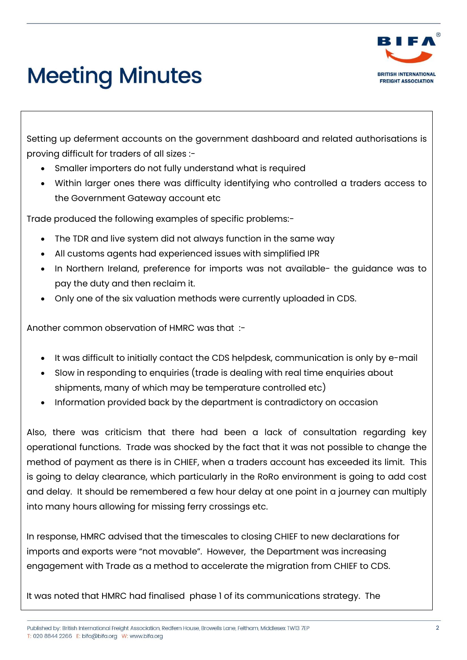

Setting up deferment accounts on the government dashboard and related authorisations is proving difficult for traders of all sizes :-

- Smaller importers do not fully understand what is required
- Within larger ones there was difficulty identifying who controlled a traders access to the Government Gateway account etc

Trade produced the following examples of specific problems:-

- The TDR and live system did not always function in the same way
- All customs agents had experienced issues with simplified IPR
- In Northern Ireland, preference for imports was not available- the guidance was to pay the duty and then reclaim it.
- Only one of the six valuation methods were currently uploaded in CDS.

Another common observation of HMRC was that :-

- It was difficult to initially contact the CDS helpdesk, communication is only by e-mail
- Slow in responding to enquiries (trade is dealing with real time enquiries about shipments, many of which may be temperature controlled etc)
- Information provided back by the department is contradictory on occasion

Also, there was criticism that there had been a lack of consultation regarding key operational functions. Trade was shocked by the fact that it was not possible to change the method of payment as there is in CHIEF, when a traders account has exceeded its limit. This is going to delay clearance, which particularly in the RoRo environment is going to add cost and delay. It should be remembered a few hour delay at one point in a journey can multiply into many hours allowing for missing ferry crossings etc.

In response, HMRC advised that the timescales to closing CHIEF to new declarations for imports and exports were "not movable". However, the Department was increasing engagement with Trade as a method to accelerate the migration from CHIEF to CDS.

It was noted that HMRC had finalised phase 1 of its communications strategy. The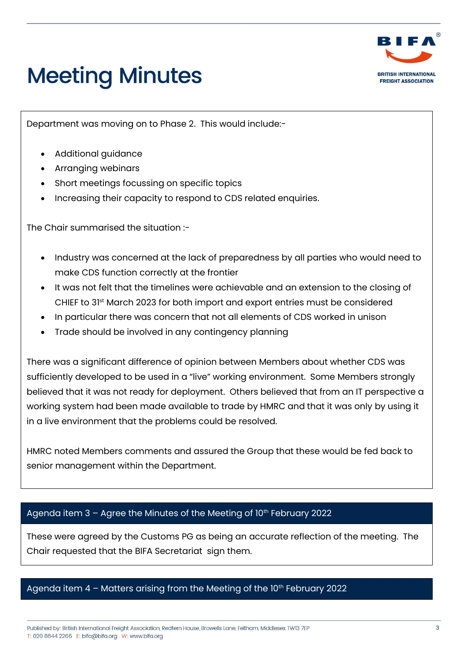

Department was moving on to Phase 2. This would include:-

- Additional guidance
- Arranging webinars
- Short meetings focussing on specific topics
- Increasing their capacity to respond to CDS related enquiries.

The Chair summarised the situation :-

- Industry was concerned at the lack of preparedness by all parties who would need to make CDS function correctly at the frontier
- It was not felt that the timelines were achievable and an extension to the closing of CHIEF to 31st March 2023 for both import and export entries must be considered
- In particular there was concern that not all elements of CDS worked in unison
- Trade should be involved in any contingency planning

There was a significant difference of opinion between Members about whether CDS was sufficiently developed to be used in a "live" working environment. Some Members strongly believed that it was not ready for deployment. Others believed that from an IT perspective a working system had been made available to trade by HMRC and that it was only by using it in a live environment that the problems could be resolved.

HMRC noted Members comments and assured the Group that these would be fed back to senior management within the Department.

### Agenda item  $3 -$  Agree the Minutes of the Meeting of  $10<sup>th</sup>$  February 2022

These were agreed by the Customs PG as being an accurate reflection of the meeting. The Chair requested that the BIFA Secretariat sign them.

### Agenda item  $4$  – Matters arising from the Meeting of the  $10<sup>th</sup>$  February 2022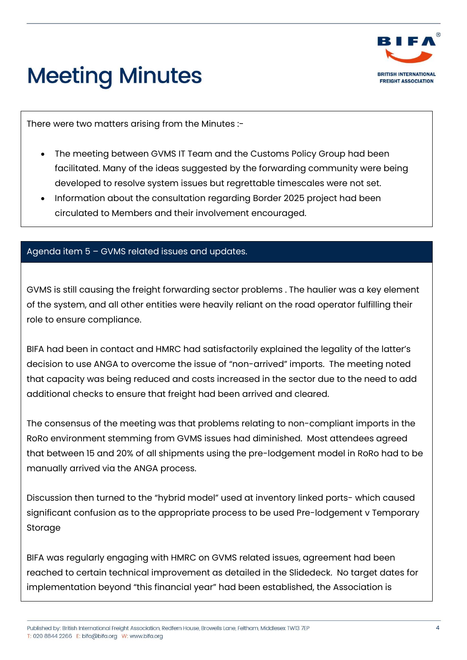

There were two matters arising from the Minutes :-

- The meeting between GVMS IT Team and the Customs Policy Group had been facilitated. Many of the ideas suggested by the forwarding community were being developed to resolve system issues but regrettable timescales were not set.
- Information about the consultation regarding Border 2025 project had been circulated to Members and their involvement encouraged.

#### Agenda item 5 – GVMS related issues and updates.

GVMS is still causing the freight forwarding sector problems . The haulier was a key element of the system, and all other entities were heavily reliant on the road operator fulfilling their role to ensure compliance.

BIFA had been in contact and HMRC had satisfactorily explained the legality of the latter's decision to use ANGA to overcome the issue of "non-arrived" imports. The meeting noted that capacity was being reduced and costs increased in the sector due to the need to add additional checks to ensure that freight had been arrived and cleared.

The consensus of the meeting was that problems relating to non-compliant imports in the RoRo environment stemming from GVMS issues had diminished. Most attendees agreed that between 15 and 20% of all shipments using the pre-lodgement model in RoRo had to be manually arrived via the ANGA process.

Discussion then turned to the "hybrid model" used at inventory linked ports- which caused significant confusion as to the appropriate process to be used Pre-lodgement v Temporary Storage

BIFA was regularly engaging with HMRC on GVMS related issues, agreement had been reached to certain technical improvement as detailed in the Slidedeck. No target dates for implementation beyond "this financial year" had been established, the Association is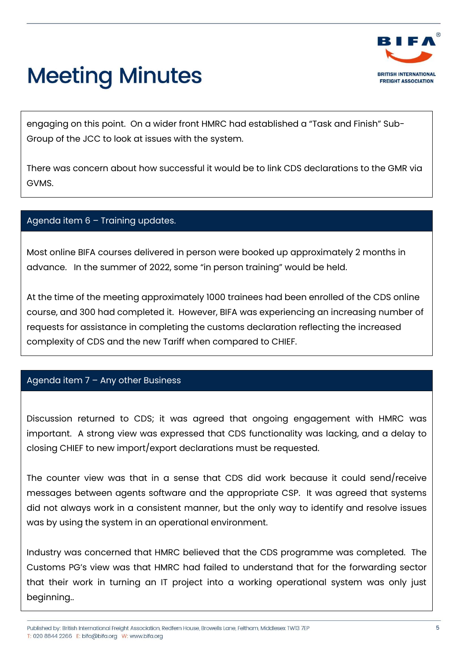

engaging on this point. On a wider front HMRC had established a "Task and Finish" Sub-Group of the JCC to look at issues with the system.

There was concern about how successful it would be to link CDS declarations to the GMR via GVMS.

#### Agenda item 6 – Training updates.

Most online BIFA courses delivered in person were booked up approximately 2 months in advance. In the summer of 2022, some "in person training" would be held.

At the time of the meeting approximately 1000 trainees had been enrolled of the CDS online course, and 300 had completed it. However, BIFA was experiencing an increasing number of requests for assistance in completing the customs declaration reflecting the increased complexity of CDS and the new Tariff when compared to CHIEF.

#### Agenda item 7 – Any other Business

Discussion returned to CDS; it was agreed that ongoing engagement with HMRC was important. A strong view was expressed that CDS functionality was lacking, and a delay to closing CHIEF to new import/export declarations must be requested.

The counter view was that in a sense that CDS did work because it could send/receive messages between agents software and the appropriate CSP. It was agreed that systems did not always work in a consistent manner, but the only way to identify and resolve issues was by using the system in an operational environment.

Industry was concerned that HMRC believed that the CDS programme was completed. The Customs PG's view was that HMRC had failed to understand that for the forwarding sector that their work in turning an IT project into a working operational system was only just beginning..

Published by: British International Freight Association Redfern House Browells Lane Feltham Middlesex TW13 7EP T: 020 8844 2266 E: bifa@bifa.org W: www.bifa.org